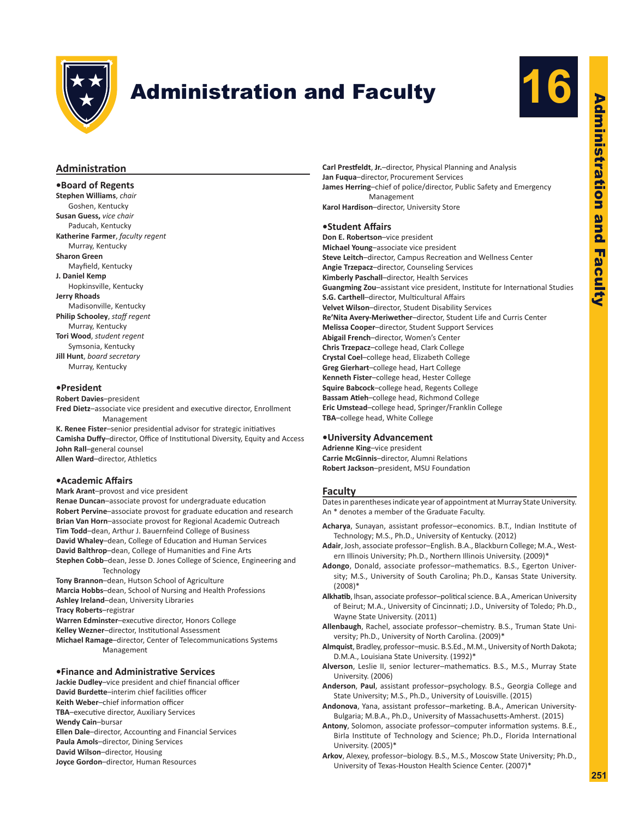

# **Administration and Faculty**



# **Administration**

### **•Board of Regents**

**Stephen Williams**, *chair* Goshen, Kentucky **Susan Guess,** *vice chair* Paducah, Kentucky **Katherine Farmer**, *faculty regent* Murray, Kentucky **Sharon Green** Mayfield, Kentucky **J. Daniel Kemp** Hopkinsville, Kentucky **Jerry Rhoads** Madisonville, Kentucky **Philip Schooley**, *staff regent* Murray, Kentucky **Tori Wood**, *student regent* Symsonia, Kentucky **Jill Hunt**, *board secretary* Murray, Kentucky

#### **•President**

**Robert Davies**–president **Fred Dietz**–associate vice president and executive director, Enrollment Management

**K. Renee Fister**–senior presidential advisor for strategic initiatives **Camisha Duffy**–director, Office of Institutional Diversity, Equity and Access **John Rall**–general counsel **Allen Ward**–director, Athletics

# **•Academic Affairs**

**Mark Arant**–provost and vice president **Renae Duncan**–associate provost for undergraduate education **Robert Pervine**–associate provost for graduate education and research **Brian Van Horn**–associate provost for Regional Academic Outreach **Tim Todd**–dean, Arthur J. Bauernfeind College of Business **David Whaley**–dean, College of Education and Human Services **David Balthrop**–dean, College of Humanities and Fine Arts **Stephen Cobb**–dean, Jesse D. Jones College of Science, Engineering and Technology **Tony Brannon**–dean, Hutson School of Agriculture **Marcia Hobbs**–dean, School of Nursing and Health Professions **Ashley Ireland**–dean, University Libraries **Tracy Roberts**–registrar **Warren Edminster**–executive director, Honors College **Kelley Wezner**–director, Institutional Assessment

**Michael Ramage**–director, Center of Telecommunications Systems Management

#### **•Finance and Administrative Services**

**Jackie Dudley**–vice president and chief financial officer **David Burdette**–interim chief facilities officer **Keith Weber**–chief information officer **TBA**–executive director, Auxiliary Services **Wendy Cain**–bursar **Ellen Dale**–director, Accounting and Financial Services **Paula Amols**–director, Dining Services **David Wilson**–director, Housing **Joyce Gordon**–director, Human Resources

**Carl Prestfeldt**, **Jr.**–director, Physical Planning and Analysis **Jan Fuqua**–director, Procurement Services **James Herring**–chief of police/director, Public Safety and Emergency Management **Karol Hardison**–director, University Store

# **•Student Affairs**

**Don E. Robertson**–vice president **Michael Young**–associate vice president **Steve Leitch**–director, Campus Recreation and Wellness Center **Angie Trzepacz**–director, Counseling Services **Kimberly Paschall**–director, Health Services **Guangming Zou**–assistant vice president, Institute for International Studies **S.G. Carthell**–director, Multicultural Affairs **Velvet Wilson**–director, Student Disability Services **Re'Nita Avery-Meriwether**–director, Student Life and Curris Center **Melissa Cooper**–director, Student Support Services **Abigail French**–director, Women's Center **Chris Trzepacz**–college head, Clark College **Crystal Coel**–college head, Elizabeth College **Greg Gierhart**–college head, Hart College **Kenneth Fister**–college head, Hester College **Squire Babcock**–college head, Regents College **Bassam Atieh**–college head, Richmond College **Eric Umstead**–college head, Springer/Franklin College **TBA**–college head, White College

#### **•University Advancement**

**Adrienne King**–vice president **Carrie McGinnis**–director, Alumni Relations **Robert Jackson**–president, MSU Foundation

#### **Faculty**

Dates in parentheses indicate year of appointment at Murray State University. An \* denotes a member of the Graduate Faculty.

- **Acharya**, Sunayan, assistant professor–economics. B.T., Indian Institute of Technology; M.S., Ph.D., University of Kentucky. (2012)
- **Adair**, Josh, associate professor–English. B.A., Blackburn College; M.A., Western Illinois University; Ph.D., Northern Illinois University. (2009)\*
- **Adongo**, Donald, associate professor–mathematics. B.S., Egerton University; M.S., University of South Carolina; Ph.D., Kansas State University. (2008)\*
- **Alkhatib**, Ihsan, associate professor–political science. B.A., American University of Beirut; M.A., University of Cincinnati; J.D., University of Toledo; Ph.D., Wayne State University. (2011)
- **Allenbaugh**, Rachel, associate professor–chemistry. B.S., Truman State University; Ph.D., University of North Carolina. (2009)\*
- **Almquist**, Bradley, professor–music. B.S.Ed., M.M., University of North Dakota; D.M.A., Louisiana State University. (1992)\*
- **Alverson**, Leslie II, senior lecturer–mathematics. B.S., M.S., Murray State University. (2006)
- **Anderson**, **Paul**, assistant professor–psychology. B.S., Georgia College and State University; M.S., Ph.D., University of Louisville. (2015)
- **Andonova**, Yana, assistant professor–marketing. B.A., American University-Bulgaria; M.B.A., Ph.D., University of Massachusetts-Amherst. (2015)
- **Antony**, Solomon, associate professor–computer information systems. B.E., Birla Institute of Technology and Science; Ph.D., Florida International University. (2005)\*
- **Arkov**, Alexey, professor–biology. B.S., M.S., Moscow State University; Ph.D., University of Texas-Houston Health Science Center. (2007)\*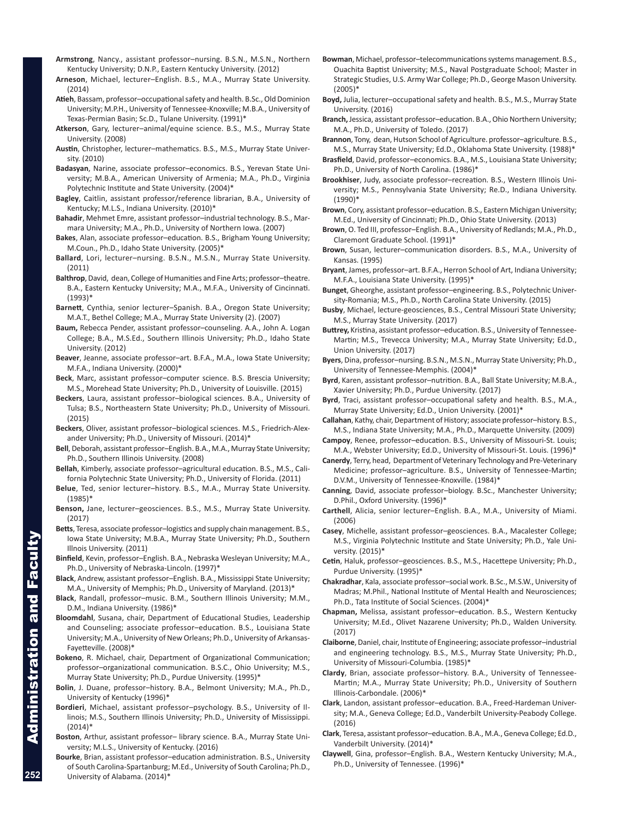- **Armstrong**, Nancy., assistant professor–nursing. B.S.N., M.S.N., Northern Kentucky University; D.N.P., Eastern Kentucky University. (2012)
- **Arneson**, Michael, lecturer–English. B.S., M.A., Murray State University. (2014)
- **Atieh**, Bassam, professor–occupational safety and health. B.Sc., Old Dominion University; M.P.H., University of Tennessee-Knoxville; M.B.A., University of Texas-Permian Basin; Sc.D., Tulane University. (1991)\*
- **Atkerson**, Gary, lecturer–animal/equine science. B.S., M.S., Murray State University. (2008)
- **Austin**, Christopher, lecturer–mathematics. B.S., M.S., Murray State University. (2010)
- **Badasyan**, Narine, associate professor–economics. B.S., Yerevan State University; M.B.A., American University of Armenia; M.A., Ph.D., Virginia Polytechnic Institute and State University. (2004)\*
- **Bagley**, Caitlin, assistant professor/reference librarian, B.A., University of Kentucky; M.L.S., Indiana University. (2010)\*
- **Bahadir**, Mehmet Emre, assistant professor–industrial technology. B.S., Marmara University; M.A., Ph.D., University of Northern Iowa. (2007)
- **Bakes**, Alan, associate professor–education. B.S., Brigham Young University; M.Coun., Ph.D., Idaho State University. (2005)\*
- **Ballard**, Lori, lecturer–nursing. B.S.N., M.S.N., Murray State University. (2011)
- **Balthrop**, David, dean, College of Humanities and Fine Arts; professor–theatre. B.A., Eastern Kentucky University; M.A., M.F.A., University of Cincinnati. (1993)\*
- **Barnett**, Cynthia, senior lecturer–Spanish. B.A., Oregon State University; M.A.T., Bethel College; M.A., Murray State University (2). (2007)
- **Baum,** Rebecca Pender, assistant professor–counseling. A.A., John A. Logan College; B.A., M.S.Ed., Southern Illinois University; Ph.D., Idaho State University. (2012)
- **Beaver**, Jeanne, associate professor–art. B.F.A., M.A., Iowa State University; M.F.A., Indiana University. (2000)\*
- **Beck**, Marc, assistant professor–computer science. B.S. Brescia University; M.S., Morehead State University; Ph.D., University of Louisville. (2015)
- **Beckers**, Laura, assistant professor–biological sciences. B.A., University of Tulsa; B.S., Northeastern State University; Ph.D., University of Missouri. (2015)
- **Beckers**, Oliver, assistant professor–biological sciences. M.S., Friedrich-Alexander University; Ph.D., University of Missouri. (2014)\*
- **Bell**, Deborah, assistant professor–English. B.A., M.A., Murray State University; Ph.D., Southern Illinois University. (2008)
- **Bellah**, Kimberly, associate professor–agricultural education. B.S., M.S., California Polytechnic State University; Ph.D., University of Florida. (2011)
- **Belue**, Ted, senior lecturer–history. B.S., M.A., Murray State University. (1985)\*
- **Benson,** Jane, lecturer–geosciences. B.S., M.S., Murray State University. (2017)
- **Betts**, Teresa, associate professor–logistics and supply chain management. B.S., Iowa State University; M.B.A., Murray State University; Ph.D., Southern Illnois University. (2011)
- **Binfield**, Kevin, professor–English. B.A., Nebraska Wesleyan University; M.A., Ph.D., University of Nebraska-Lincoln. (1997)\*
- **Black**, Andrew, assistant professor–English. B.A., Mississippi State University; M.A., University of Memphis; Ph.D., University of Maryland. (2013)\*
- **Black**, Randall, professor–music. B.M., Southern Illinois University; M.M., D.M., Indiana University. (1986)\*
- **Bloomdahl**, Susana, chair, Department of Educational Studies, Leadership and Counseling; associate professor–education. B.S., Louisiana State University; M.A., University of New Orleans; Ph.D., University of Arkansas-Fayetteville. (2008)\*
- **Bokeno**, R. Michael, chair, Department of Organizational Communication; professor–organizational communication. B.S.C., Ohio University; M.S., Murray State University; Ph.D., Purdue University. (1995)\*
- **Bolin**, J. Duane, professor–history. B.A., Belmont University; M.A., Ph.D., University of Kentucky (1996)\*
- **Bordieri**, Michael, assistant professor–psychology. B.S., University of Illinois; M.S., Southern Illinois University; Ph.D., University of Mississippi. (2014)\*
- **Boston**, Arthur, assistant professor– library science. B.A., Murray State University; M.L.S., University of Kentucky. (2016)
- **Bourke**, Brian, assistant professor–education administration. B.S., University of South Carolina-Spartanburg; M.Ed., University of South Carolina; Ph.D., University of Alabama. (2014)\*
- **Bowman**, Michael, professor–telecommunications systems management. B.S., Ouachita Baptist University; M.S., Naval Postgraduate School; Master in Strategic Studies, U.S. Army War College; Ph.D., George Mason University. (2005)\*
- **Boyd,** Julia, lecturer–occupational safety and health. B.S., M.S., Murray State University. (2016)
- **Branch,** Jessica, assistant professor–education. B.A., Ohio Northern University; M.A., Ph.D., University of Toledo. (2017)
- **Brannon**, Tony, dean, Hutson School of Agriculture. professor–agriculture. B.S., M.S., Murray State University; Ed.D., Oklahoma State University. (1988)\*
- **Brasfield**, David, professor–economics. B.A., M.S., Louisiana State University; Ph.D., University of North Carolina. (1986)\*
- **Brookhiser**, Judy, associate professor–recreation. B.S., Western Illinois University; M.S., Pennsylvania State University; Re.D., Indiana University. (1990)\*
- **Brown**, Cory, assistant professor–education. B.S., Eastern Michigan University; M.Ed., University of Cincinnati; Ph.D., Ohio State University. (2013)
- **Brown**, O. Ted III, professor–English. B.A., University of Redlands; M.A., Ph.D., Claremont Graduate School. (1991)\*
- **Brown**, Susan, lecturer–communication disorders. B.S., M.A., University of Kansas. (1995)
- **Bryant**, James, professor–art. B.F.A., Herron School of Art, Indiana University; M.F.A., Louisiana State University. (1995)\*
- **Bunget**, Gheorghe, assistant professor–engineering. B.S., Polytechnic University-Romania; M.S., Ph.D., North Carolina State University. (2015)
- **Busby**, Michael, lecture-geosciences, B.S., Central Missouri State University; M.S., Murray State University. (2017)
- **Buttrey,** Kristina, assistant professor–education. B.S., University of Tennessee-Martin; M.S., Trevecca University; M.A., Murray State University; Ed.D., Union University. (2017)
- **Byers**, Dina, professor–nursing. B.S.N., M.S.N., Murray State University; Ph.D., University of Tennessee-Memphis. (2004)\*
- **Byrd**, Karen, assistant professor–nutrition. B.A., Ball State University; M.B.A., Xavier University; Ph.D., Purdue University. (2017)
- **Byrd**, Traci, assistant professor–occupational safety and health. B.S., M.A., Murray State University; Ed.D., Union University. (2001)\*
- **Callahan**, Kathy, chair, Department of History; associate professor–history. B.S., M.S., Indiana State University; M.A., Ph.D., Marquette University. (2009)
- **Campoy**, Renee, professor–education. B.S., University of Missouri-St. Louis; M.A., Webster University; Ed.D., University of Missouri-St. Louis. (1996)\*
- **Canerdy**, Terry, head, Department of Veterinary Technology and Pre-Veterinary Medicine; professor–agriculture. B.S., University of Tennessee-Martin; D.V.M., University of Tennessee-Knoxville. (1984)\*
- **Canning**, David, associate professor–biology. B.Sc., Manchester University; D.Phil., Oxford University. (1996)\*
- **Carthell**, Alicia, senior lecturer–English. B.A., M.A., University of Miami. (2006)
- **Casey**, Michelle, assistant professor–geosciences. B.A., Macalester College; M.S., Virginia Polytechnic Institute and State University; Ph.D., Yale University. (2015)\*
- **Cetin**, Haluk, professor–geosciences. B.S., M.S., Hacettepe University; Ph.D., Purdue University. (1995)\*
- **Chakradhar**, Kala, associate professor–social work. B.Sc., M.S.W., University of Madras; M.Phil., National Institute of Mental Health and Neurosciences; Ph.D., Tata Institute of Social Sciences. (2004)\*
- **Chapman,** Melissa, assistant professor–education. B.S., Western Kentucky University; M.Ed., Olivet Nazarene University; Ph.D., Walden University. (2017)
- **Claiborne**, Daniel, chair, Institute of Engineering; associate professor–industrial and engineering technology. B.S., M.S., Murray State University; Ph.D., University of Missouri-Columbia. (1985)\*
- **Clardy**, Brian, associate professor–history. B.A., University of Tennessee-Martin; M.A., Murray State University; Ph.D., University of Southern Illinois-Carbondale. (2006)\*
- **Clark**, Landon, assistant professor–education. B.A., Freed-Hardeman University; M.A., Geneva College; Ed.D., Vanderbilt University-Peabody College. (2016)
- **Clark**, Teresa, assistant professor–education. B.A., M.A., Geneva College; Ed.D., Vanderbilt University. (2014)\*
- **Claywell**, Gina, professor–English. B.A., Western Kentucky University; M.A., Ph.D., University of Tennessee. (1996)\*

Facul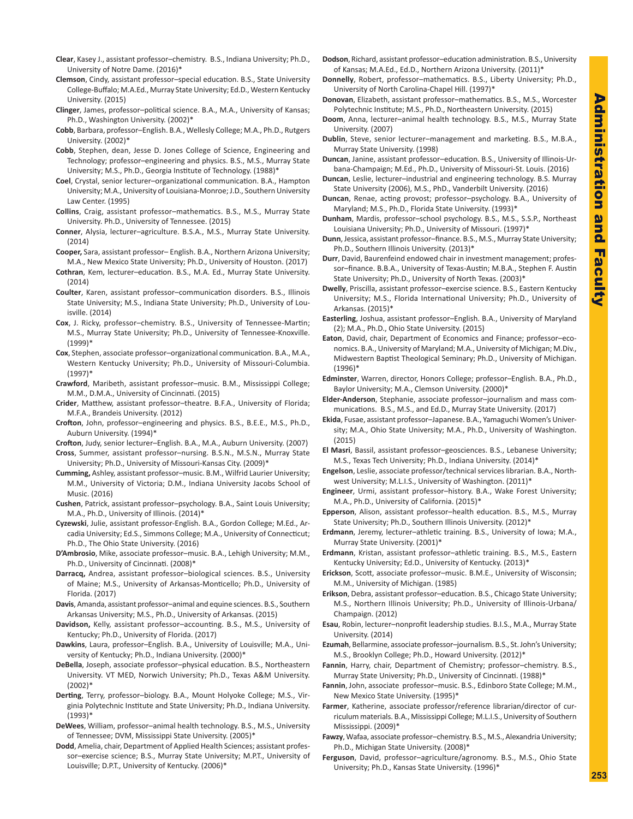- **Clear**, Kasey J., assistant professor–chemistry. B.S., Indiana University; Ph.D., University of Notre Dame. (2016)\*
- **Clemson**, Cindy, assistant professor–special education. B.S., State University College-Buffalo; M.A.Ed., Murray State University; Ed.D., Western Kentucky University. (2015)
- **Clinger**, James, professor–political science. B.A., M.A., University of Kansas; Ph.D., Washington University. (2002)\*
- **Cobb**, Barbara, professor–English. B.A., Wellesly College; M.A., Ph.D., Rutgers University. (2002)\*
- **Cobb**, Stephen, dean, Jesse D. Jones College of Science, Engineering and Technology; professor–engineering and physics. B.S., M.S., Murray State University; M.S., Ph.D., Georgia Institute of Technology. (1988)\*
- **Coel**, Crystal, senior lecturer–organizational communication. B.A., Hampton University; M.A., University of Louisiana-Monroe; J.D., Southern University Law Center. (1995)
- **Collins**, Craig, assistant professor–mathematics. B.S., M.S., Murray State University. Ph.D., University of Tennessee. (2015)
- **Conner**, Alysia, lecturer–agriculture. B.S.A., M.S., Murray State University. (2014)
- **Cooper,** Sara, assistant professor– English. B.A., Northern Arizona University; M.A., New Mexico State University; Ph.D., University of Houston. (2017)
- **Cothran**, Kem, lecturer–education. B.S., M.A. Ed., Murray State University.  $(2014)$
- **Coulter**, Karen, assistant professor–communication disorders. B.S., Illinois State University; M.S., Indiana State University; Ph.D., University of Louisville. (2014)
- **Cox**, J. Ricky, professor–chemistry. B.S., University of Tennessee-Martin; M.S., Murray State University; Ph.D., University of Tennessee-Knoxville. (1999)\*
- **Cox**, Stephen, associate professor–organizational communication. B.A., M.A., Western Kentucky University; Ph.D., University of Missouri-Columbia. (1997)\*
- **Crawford**, Maribeth, assistant professor–music. B.M., Mississippi College; M.M., D.M.A., University of Cincinnati. (2015)
- **Crider**, Matthew, assistant professor–theatre. B.F.A., University of Florida; M.F.A., Brandeis University. (2012)
- **Crofton**, John, professor–engineering and physics. B.S., B.E.E., M.S., Ph.D., Auburn University. (1994)\*
- **Crofton**, Judy, senior lecturer–English. B.A., M.A., Auburn University. (2007)
- **Cross**, Summer, assistant professor–nursing. B.S.N., M.S.N., Murray State University; Ph.D., University of Missouri-Kansas City. (2009)\*
- **Cumming,** Ashley, assistant professor–music. B.M., Wilfrid Laurier University; M.M., University of Victoria; D.M., Indiana University Jacobs School of Music. (2016)
- **Cushen**, Patrick, assistant professor–psychology. B.A., Saint Louis University; M.A., Ph.D., University of Illinois. (2014)\*
- **Cyzewski**, Julie, assistant professor-English. B.A., Gordon College; M.Ed., Arcadia University; Ed.S., Simmons College; M.A., University of Connecticut; Ph.D., The Ohio State University. (2016)
- **D'Ambrosio**, Mike, associate professor–music. B.A., Lehigh University; M.M., Ph.D., University of Cincinnati. (2008)\*
- **Darracq,** Andrea, assistant professor–biological sciences. B.S., University of Maine; M.S., University of Arkansas-Monticello; Ph.D., University of Florida. (2017)
- **Davis**, Amanda, assistant professor–animal and equine sciences. B.S., Southern Arkansas University; M.S., Ph.D., University of Arkansas. (2015)
- **Davidson,** Kelly, assistant professor–accounting. B.S., M.S., University of Kentucky; Ph.D., University of Florida. (2017)
- **Dawkins**, Laura, professor–English. B.A., University of Louisville; M.A., University of Kentucky; Ph.D., Indiana University. (2000)\*
- **DeBella**, Joseph, associate professor–physical education. B.S., Northeastern University. VT MED, Norwich University; Ph.D., Texas A&M University. (2002)\*
- **Derting**, Terry, professor–biology. B.A., Mount Holyoke College; M.S., Virginia Polytechnic Institute and State University; Ph.D., Indiana University. (1993)\*
- **DeWees**, William, professor–animal health technology. B.S., M.S., University of Tennessee; DVM, Mississippi State University. (2005)\*
- **Dodd**, Amelia, chair, Department of Applied Health Sciences; assistant professor–exercise science; B.S., Murray State University; M.P.T., University of Louisville; D.P.T., University of Kentucky. (2006)\*
- **Dodson**, Richard, assistant professor–education administration. B.S., University of Kansas; M.A.Ed., Ed.D., Northern Arizona University. (2011)\*
- **Donnelly**, Robert, professor–mathematics. B.S., Liberty University; Ph.D., University of North Carolina-Chapel Hill. (1997)\*
- **Donovan**, Elizabeth, assistant professor–mathematics. B.S., M.S., Worcester Polytechnic Institute; M.S., Ph.D., Northeastern University. (2015)
- **Doom**, Anna, lecturer–animal health technology. B.S., M.S., Murray State University. (2007)
- **Dublin**, Steve, senior lecturer–management and marketing. B.S., M.B.A., Murray State University. (1998)
- **Duncan**, Janine, assistant professor–education. B.S., University of Illinois-Urbana-Champaign; M.Ed., Ph.D., University of Missouri-St. Louis. (2016)
- **Duncan**, Leslie, lecturer–industrial and engineering technology. B.S. Murray State University (2006), M.S., PhD., Vanderbilt University. (2016)
- **Duncan**, Renae, acting provost; professor–psychology. B.A., University of Maryland; M.S., Ph.D., Florida State University. (1993)\*
- **Dunham**, Mardis, professor–school psychology. B.S., M.S., S.S.P., Northeast Louisiana University; Ph.D., University of Missouri. (1997)\*
- **Dunn**, Jessica, assistant professor–finance. B.S., M.S., Murray State University; Ph.D., Southern Illinois University. (2013)\*
- **Durr**, David, Baurenfeind endowed chair in investment management; professor–finance. B.B.A., University of Texas-Austin; M.B.A., Stephen F. Austin State University; Ph.D., University of North Texas. (2003)\*
- **Dwelly**, Priscilla, assistant professor–exercise science. B.S., Eastern Kentucky University; M.S., Florida International University; Ph.D., University of Arkansas. (2015)\*
- **Easterling**, Joshua, assistant professor–English. B.A., University of Maryland (2); M.A., Ph.D., Ohio State University. (2015)
- **Eaton**, David, chair, Department of Economics and Finance; professor–economics. B.A., University of Maryland; M.A., University of Michigan; M.Div., Midwestern Baptist Theological Seminary; Ph.D., University of Michigan. (1996)\*
- **Edminster**, Warren, director, Honors College; professor–English. B.A., Ph.D., Baylor University; M.A., Clemson University. (2000)\*
- **Elder-Anderson**, Stephanie, associate professor–journalism and mass communications. B.S., M.S., and Ed.D., Murray State University. (2017)
- **Ekida**, Fusae, assistant professor–Japanese. B.A., Yamaguchi Women's University; M.A., Ohio State University; M.A., Ph.D., University of Washington. (2015)
- **El Masri**, Bassil, assistant professor–geosciences. B.S., Lebanese University; M.S., Texas Tech University; Ph.D., Indiana University. (2014)\*
- **Engelson**, Leslie, associate professor/technical services librarian. B.A., Northwest University; M.L.I.S., University of Washington. (2011)\*
- **Engineer**, Urmi, assistant professor–history. B.A., Wake Forest University; M.A., Ph.D., University of California. (2015)\*
- **Epperson**, Alison, assistant professor–health education. B.S., M.S., Murray State University; Ph.D., Southern Illinois University. (2012)\*
- **Erdmann**, Jeremy, lecturer–athletic training. B.S., University of Iowa; M.A., Murray State University. (2001)\*
- **Erdmann**, Kristan, assistant professor–athletic training. B.S., M.S., Eastern Kentucky University; Ed.D., University of Kentucky. (2013)\*
- **Erickson**, Scott, associate professor–music. B.M.E., University of Wisconsin; M.M., University of Michigan. (1985)
- **Erikson**, Debra, assistant professor–education. B.S., Chicago State University; M.S., Northern Illinois University; Ph.D., University of Illinois-Urbana/ Champaign. (2012)
- **Esau**, Robin, lecturer–nonprofit leadership studies. B.I.S., M.A., Murray State University. (2014)
- **Ezumah**, Bellarmine, associate professor–journalism. B.S., St. John's University; M.S., Brooklyn College; Ph.D., Howard University. (2012)\*
- **Fannin**, Harry, chair, Department of Chemistry; professor–chemistry. B.S., Murray State University; Ph.D., University of Cincinnati. (1988)\*
- **Fannin**, John, associate professor–music. B.S., Edinboro State College; M.M., New Mexico State University. (1995)\*
- **Farmer**, Katherine, associate professor/reference librarian/director of curriculum materials. B.A., Mississippi College; M.L.I.S., University of Southern Mississippi. (2009)\*
- **Fawzy**, Wafaa, associate professor–chemistry. B.S., M.S., Alexandria University; Ph.D., Michigan State University. (2008)\*
- **Ferguson**, David, professor–agriculture/agronomy. B.S., M.S., Ohio State University; Ph.D., Kansas State University. (1996)\*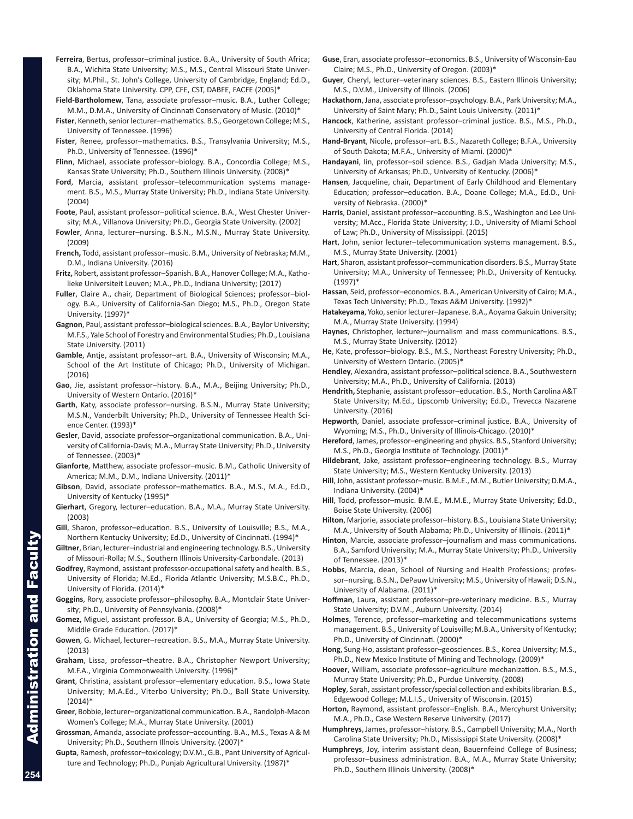- **Ferreira**, Bertus, professor–criminal justice. B.A., University of South Africa; B.A., Wichita State University; M.S., M.S., Central Missouri State University; M.Phil., St. John's College, University of Cambridge, England; Ed.D., Oklahoma State University. CPP, CFE, CST, DABFE, FACFE (2005)\*
- **Field-Bartholomew**, Tana, associate professor–music. B.A., Luther College; M.M., D.M.A., University of Cincinnati Conservatory of Music. (2010)\*
- **Fister**, Kenneth, senior lecturer–mathematics. B.S., Georgetown College; M.S., University of Tennessee. (1996)
- **Fister**, Renee, professor–mathematics. B.S., Transylvania University; M.S., Ph.D., University of Tennessee. (1996)\*
- **Flinn**, Michael, associate professor–biology. B.A., Concordia College; M.S., Kansas State University; Ph.D., Southern Illinois University. (2008)\*
- **Ford**, Marcia, assistant professor–telecommunication systems management. B.S., M.S., Murray State University; Ph.D., Indiana State University. (2004)
- **Foote**, Paul, assistant professor–political science. B.A., West Chester University; M.A., Villanova University; Ph.D., Georgia State University. (2002)
- **Fowler**, Anna, lecturer–nursing. B.S.N., M.S.N., Murray State University. (2009)
- **French,** Todd, assistant professor–music. B.M., University of Nebraska; M.M., D.M., Indiana University. (2016)
- **Fritz,** Robert, assistant professor–Spanish. B.A., Hanover College; M.A., Katholieke Universiteit Leuven; M.A., Ph.D., Indiana University; (2017)
- **Fuller**, Claire A., chair, Department of Biological Sciences; professor–biology. B.A., University of California-San Diego; M.S., Ph.D., Oregon State University. (1997)\*
- **Gagnon**, Paul, assistant professor–biological sciences. B.A., Baylor University; M.F.S., Yale School of Forestry and Environmental Studies; Ph.D., Louisiana State University. (2011)
- **Gamble**, Antje, assistant professor–art. B.A., University of Wisconsin; M.A., School of the Art Institute of Chicago; Ph.D., University of Michigan. (2016)
- **Gao**, Jie, assistant professor–history. B.A., M.A., Beijing University; Ph.D., University of Western Ontario. (2016)\*
- **Garth**, Katy, associate professor–nursing. B.S.N., Murray State University; M.S.N., Vanderbilt University; Ph.D., University of Tennessee Health Science Center. (1993)\*
- **Gesler**, David, associate professor–organizational communication. B.A., University of California-Davis; M.A., Murray State University; Ph.D., University of Tennessee. (2003)\*
- **Gianforte**, Matthew, associate professor–music. B.M., Catholic University of America; M.M., D.M., Indiana University. (2011)\*
- **Gibson**, David, associate professor–mathematics. B.A., M.S., M.A., Ed.D., University of Kentucky (1995)\*
- **Gierhart**, Gregory, lecturer–education. B.A., M.A., Murray State University. (2003)
- **Gill**, Sharon, professor–education. B.S., University of Louisville; B.S., M.A., Northern Kentucky University; Ed.D., University of Cincinnati. (1994)\*
- **Giltner**, Brian, lecturer–industrial and engineering technology. B.S., University of Missouri-Rolla; M.S., Southern Illinois University-Carbondale. (2013)
- **Godfrey**, Raymond, assistant professsor-occupational safety and health. B.S., University of Florida; M.Ed., Florida Atlantic University; M.S.B.C., Ph.D., University of Florida. (2014)\*
- **Goggins**, Rory, associate professor–philosophy. B.A., Montclair State University; Ph.D., University of Pennsylvania. (2008)\*
- **Gomez,** Miguel, assistant professor. B.A., University of Georgia; M.S., Ph.D., Middle Grade Education. (2017)\*
- **Gowen**, G. Michael, lecturer–recreation. B.S., M.A., Murray State University. (2013)
- **Graham**, Lissa, professor–theatre. B.A., Christopher Newport University; M.F.A., Virginia Commonwealth University. (1996)\*
- **Grant**, Christina, assistant professor–elementary education. B.S., Iowa State University; M.A.Ed., Viterbo University; Ph.D., Ball State University. (2014)\*
- **Greer**, Bobbie, lecturer–organizational communication. B.A., Randolph-Macon Women's College; M.A., Murray State University. (2001)
- **Grossman**, Amanda, associate professor–accounting. B.A., M.S., Texas A & M University; Ph.D., Southern Illnois University. (2007)\*
- **Gupta**, Ramesh, professor–toxicology; D.V.M., G.B., Pant University of Agriculture and Technology; Ph.D., Punjab Agricultural University. (1987)\*
- **Guse**, Eran, associate professor–economics. B.S., University of Wisconsin-Eau Claire; M.S., Ph.D., University of Oregon. (2003)\*
- **Guyer**, Cheryl, lecturer–veterinary sciences. B.S., Eastern Illinois University; M.S., D.V.M., University of Illinois. (2006)
- **Hackathorn**, Jana, associate professor–psychology. B.A., Park University; M.A., University of Saint Mary; Ph.D., Saint Louis University. (2011)\*
- **Hancock**, Katherine, assistant professor–criminal justice. B.S., M.S., Ph.D., University of Central Florida. (2014)
- **Hand-Bryant**, Nicole, professor–art. B.S., Nazareth College; B.F.A., University of South Dakota; M.F.A., University of Miami. (2000)\*
- **Handayani**, Iin, professor–soil science. B.S., Gadjah Mada University; M.S., University of Arkansas; Ph.D., University of Kentucky. (2006)\*
- **Hansen**, Jacqueline, chair, Department of Early Childhood and Elementary Education; professor–education. B.A., Doane College; M.A., Ed.D., University of Nebraska. (2000)\*
- **Harris**, Daniel, assistant professor–accounting. B.S., Washington and Lee University; M.Acc., Florida State University; J.D., University of Miami School of Law; Ph.D., University of Mississippi. (2015)
- **Hart**, John, senior lecturer–telecommunication systems management. B.S., M.S., Murray State University. (2001)
- **Hart**, Sharon, assistant professor–communication disorders. B.S., Murray State University; M.A., University of Tennessee; Ph.D., University of Kentucky. (1997)\*
- **Hassan**, Seid, professor–economics. B.A., American University of Cairo; M.A., Texas Tech University; Ph.D., Texas A&M University. (1992)\*
- **Hatakeyama**, Yoko, senior lecturer–Japanese. B.A., Aoyama Gakuin University; M.A., Murray State University. (1994)
- **Haynes**, Christopher, lecturer–journalism and mass communications. B.S., M.S., Murray State University. (2012)
- **He**, Kate, professor–biology. B.S., M.S., Northeast Forestry University; Ph.D., University of Western Ontario. (2005)\*
- **Hendley**, Alexandra, assistant professor–political science. B.A., Southwestern University; M.A., Ph.D., University of California. (2013)
- **Hendrith,** Stephanie, assistant professor–education. B.S., North Carolina A&T State University; M.Ed., Lipscomb University; Ed.D., Trevecca Nazarene University. (2016)
- **Hepworth**, Daniel, associate professor–criminal justice. B.A., University of Wyoming; M.S., Ph.D., University of Illinois-Chicago. (2010)\*
- **Hereford**, James, professor–engineering and physics. B.S., Stanford University; M.S., Ph.D., Georgia Institute of Technology. (2001)\*
- **Hildebrant**, Jake, assistant professor–engineering technology. B.S., Murray State University; M.S., Western Kentucky University. (2013)
- **Hill**, John, assistant professor–music. B.M.E., M.M., Butler University; D.M.A., Indiana University. (2004)\*
- **Hill**, Todd, professor–music. B.M.E., M.M.E., Murray State University; Ed.D., Boise State University. (2006)
- **Hilton**, Marjorie, associate professor–history. B.S., Louisiana State University; M.A., University of South Alabama; Ph.D., University of Illinois. (2011)\*
- **Hinton**, Marcie, associate professor–journalism and mass communications. B.A., Samford University; M.A., Murray State University; Ph.D., University of Tennessee. (2013)\*
- **Hobbs**, Marcia, dean, School of Nursing and Health Professions; professor–nursing. B.S.N., DePauw University; M.S., University of Hawaii; D.S.N., University of Alabama. (2011)\*
- **Hoffman**, Laura, assistant professor–pre-veterinary medicine. B.S., Murray State University; D.V.M., Auburn University. (2014)
- **Holmes**, Terence, professor–marketing and telecommunications systems management. B.S., University of Louisville; M.B.A., University of Kentucky; Ph.D., University of Cincinnati. (2000)\*
- **Hong**, Sung-Ho, assistant professor–geosciences. B.S., Korea University; M.S., Ph.D., New Mexico Institute of Mining and Technology. (2009)\*
- **Hoover**, William, associate professor–agriculture mechanization. B.S., M.S., Murray State University; Ph.D., Purdue University. (2008)
- **Hopley**, Sarah, assistant professor/special collection and exhibits librarian. B.S., Edgewood College; M.L.I.S., University of Wisconsin. (2015)
- **Horton,** Raymond, assistant professor–English. B.A., Mercyhurst University; M.A., Ph.D., Case Western Reserve University. (2017)
- **Humphreys**, James, professor–history. B.S., Campbell University; M.A., North Carolina State University; Ph.D., Mississippi State University. (2008)\*
- **Humphreys**, Joy, interim assistant dean, Bauernfeind College of Business; professor–business administration. B.A., M.A., Murray State University; Ph.D., Southern Illinois University. (2008)\*

Administration and Faculty

ministration and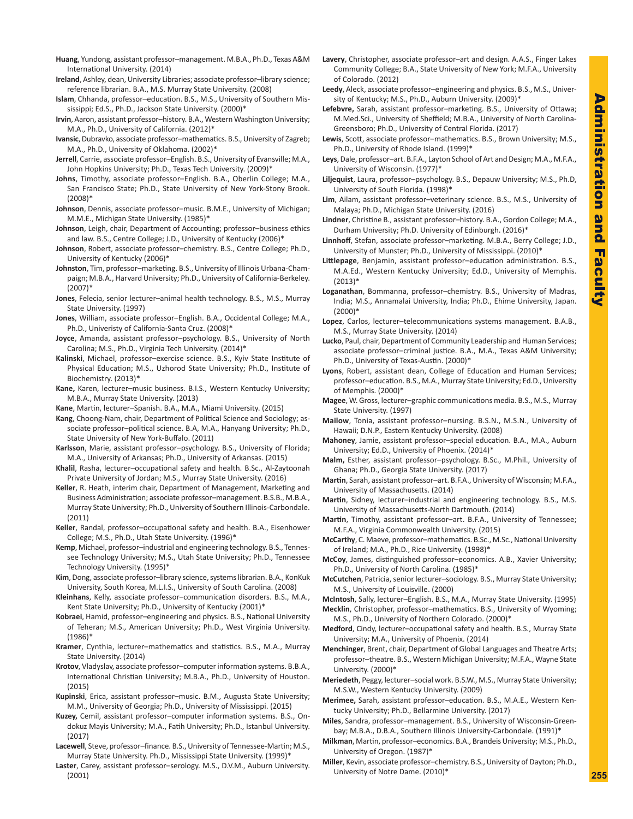- **Huang**, Yundong, assistant professor–management. M.B.A., Ph.D., Texas A&M International University. (2014)
- **Ireland**, Ashley, dean, University Libraries; associate professor–library science; reference librarian. B.A., M.S. Murray State University. (2008)
- **Islam**, Chhanda, professor–education. B.S., M.S., University of Southern Mississippi; Ed.S., Ph.D., Jackson State University. (2000)\*
- **Irvin**, Aaron, assistant professor–history. B.A., Western Washington University; M.A., Ph.D., University of California. (2012)\*
- **Ivansic**, Dubravko, associate professor–mathematics. B.S., University of Zagreb; M.A., Ph.D., University of Oklahoma. (2002)\*
- **Jerrell**, Carrie, associate professor–English. B.S., University of Evansville; M.A., John Hopkins University; Ph.D., Texas Tech University. (2009)\*
- **Johns**, Timothy, associate professor–English. B.A., Oberlin College; M.A., San Francisco State; Ph.D., State University of New York-Stony Brook. (2008)\*
- **Johnson**, Dennis, associate professor–music. B.M.E., University of Michigan; M.M.E., Michigan State University. (1985)\*
- **Johnson**, Leigh, chair, Department of Accounting; professor–business ethics and law. B.S., Centre College; J.D., University of Kentucky (2006)\*
- **Johnson**, Robert, associate professor–chemistry. B.S., Centre College; Ph.D., University of Kentucky (2006)\*
- **Johnston**, Tim, professor–marketing. B.S., University of Illinois Urbana-Champaign; M.B.A., Harvard University; Ph.D., University of California-Berkeley. (2007)\*
- **Jones**, Felecia, senior lecturer–animal health technology. B.S., M.S., Murray State University. (1997)
- **Jones**, William, associate professor–English. B.A., Occidental College; M.A., Ph.D., Univeristy of California-Santa Cruz. (2008)\*
- **Joyce**, Amanda, assistant professor–psychology. B.S., University of North Carolina; M.S., Ph.D., Virginia Tech University. (2014)\*
- **Kalinski**, Michael, professor–exercise science. B.S., Kyiv State Institute of Physical Education; M.S., Uzhorod State University; Ph.D., Institute of Biochemistry. (2013)\*
- **Kane,** Karen, lecturer–music business. B.I.S., Western Kentucky University; M.B.A., Murray State University. (2013)
- **Kane**, Martin, lecturer–Spanish. B.A., M.A., Miami University. (2015)
- **Kang**, Choong-Nam, chair, Department of Political Science and Sociology; associate professor–political science. B.A, M.A., Hanyang University; Ph.D., State University of New York-Buffalo. (2011)
- **Karlsson**, Marie, assistant professor–psychology. B.S., University of Florida; M.A., University of Arkansas; Ph.D., University of Arkansas. (2015)
- **Khalil**, Rasha, lecturer–occupational safety and health. B.Sc., Al-Zaytoonah Private University of Jordan; M.S., Murray State University. (2016)
- **Keller**, R. Heath, interim chair, Department of Management, Marketing and Business Administration; associate professor–management. B.S.B., M.B.A., Murray State University; Ph.D., University of Southern Illinois-Carbondale. (2011)
- **Keller**, Randal, professor–occupational safety and health. B.A., Eisenhower College; M.S., Ph.D., Utah State University. (1996)\*
- **Kemp**, Michael, professor–industrial and engineering technology. B.S., Tennessee Technology University; M.S., Utah State University; Ph.D., Tennessee Technology University. (1995)\*
- **Kim**, Dong, associate professor–library science, systems librarian. B.A., KonKuk University, South Korea, M.L.I.S., University of South Carolina. (2008)
- **Kleinhans**, Kelly, associate professor–communication disorders. B.S., M.A., Kent State University; Ph.D., University of Kentucky (2001)\*
- **Kobraei**, Hamid, professor–engineering and physics. B.S., National University of Teheran; M.S., American University; Ph.D., West Virginia University. (1986)\*
- **Kramer**, Cynthia, lecturer–mathematics and statistics. B.S., M.A., Murray State University. (2014)
- **Krotov**, Vladyslav, associate professor–computer information systems. B.B.A., International Christian University; M.B.A., Ph.D., University of Houston. (2015)
- **Kupinski**, Erica, assistant professor–music. B.M., Augusta State University; M.M., University of Georgia; Ph.D., University of Mississippi. (2015)
- **Kuzey,** Cemil, assistant professor–computer information systems. B.S., Ondokuz Mayis University; M.A., Fatih University; Ph.D., Istanbul University. (2017)
- **Lacewell**, Steve, professor–finance. B.S., University of Tennessee-Martin; M.S., Murray State University. Ph.D., Mississippi State University. (1999)\*
- **Laster**, Carey, assistant professor–serology. M.S., D.V.M., Auburn University. (2001)
- **Lavery**, Christopher, associate professor–art and design. A.A.S., Finger Lakes Community College; B.A., State University of New York; M.F.A., University of Colorado. (2012)
- **Leedy**, Aleck, associate professor–engineering and physics. B.S., M.S., University of Kentucky; M.S., Ph.D., Auburn University. (2009)\*
- **Lefebvre,** Sarah, assistant professor–marketing. B.S., University of Ottawa; M.Med.Sci., University of Sheffield; M.B.A., University of North Carolina-Greensboro; Ph.D., University of Central Florida. (2017)
- **Lewis**, Scott, associate professor–mathematics. B.S., Brown University; M.S., Ph.D., University of Rhode Island. (1999)\*
- **Leys**, Dale, professor–art. B.F.A., Layton School of Art and Design; M.A., M.F.A., University of Wisconsin. (1977)\*
- **Liljequist**, Laura, professor–psychology. B.S., Depauw University; M.S., Ph.D, University of South Florida. (1998)\*
- **Lim**, Ailam, assistant professor–veterinary science. B.S., M.S., University of Malaya; Ph.D., Michigan State University. (2016)
- **Lindner**, Christine B., assistant professor–history. B.A., Gordon College; M.A., Durham University; Ph.D. University of Edinburgh. (2016)\*
- **Linnhoff**, Stefan, associate professor–marketing. M.B.A., Berry College; J.D., University of Munster; Ph.D., University of Mississippi. (2010)\*
- **Littlepage**, Benjamin, assistant professor–education administration. B.S., M.A.Ed., Western Kentucky University; Ed.D., University of Memphis.  $(2013)*$
- **Loganathan**, Bommanna, professor–chemistry. B.S., University of Madras, India; M.S., Annamalai University, India; Ph.D., Ehime University, Japan.  $(2000)^*$
- **Lopez**, Carlos, lecturer–telecommunications systems management. B.A.B., M.S., Murray State University. (2014)
- **Lucko**, Paul, chair, Department of Community Leadership and Human Services; associate professor–criminal justice. B.A., M.A., Texas A&M University; Ph.D., University of Texas-Austin. (2000)\*
- **Lyons**, Robert, assistant dean, College of Education and Human Services; professor–education. B.S., M.A., Murray State University; Ed.D., University of Memphis. (2000)\*
- **Magee**, W. Gross, lecturer–graphic communications media. B.S., M.S., Murray State University. (1997)
- **Mailow**, Tonia, assistant professor–nursing. B.S.N., M.S.N., University of Hawaii; D.N.P., Eastern Kentucky University. (2008)
- **Mahoney**, Jamie, assistant professor–special education. B.A., M.A., Auburn University; Ed.D., University of Phoenix. (2014)\*
- **Malm,** Esther, assistant professor–psychology. B.Sc., M.Phil., University of Ghana; Ph.D., Georgia State University. (2017)
- **Martin**, Sarah, assistant professor–art. B.F.A., University of Wisconsin; M.F.A., University of Massachusetts. (2014)
- **Martin**, Sidney, lecturer–industrial and engineering technology. B.S., M.S. University of Massachusetts-North Dartmouth. (2014)
- **Martin**, Timothy, assistant professor–art. B.F.A., University of Tennessee; M.F.A., Virginia Commonwealth University. (2015)
- **McCarthy**, C. Maeve, professor–mathematics. B.Sc., M.Sc., National University of Ireland; M.A., Ph.D., Rice University. (1998)\*
- **McCoy**, James, distinguished professor–economics. A.B., Xavier University; Ph.D., University of North Carolina. (1985)\*
- **McCutchen**, Patricia, senior lecturer–sociology. B.S., Murray State University; M.S., University of Louisville. (2000)
- **McIntosh**, Sally, lecturer–English. B.S., M.A., Murray State University. (1995) **Mecklin**, Christopher, professor–mathematics. B.S., University of Wyoming;
- M.S., Ph.D., University of Northern Colorado. (2000)\*
- **Medford**, Cindy, lecturer–occupational safety and health. B.S., Murray State University; M.A., University of Phoenix. (2014)
- **Menchinger**, Brent, chair, Department of Global Languages and Theatre Arts; professor–theatre. B.S., Western Michigan University; M.F.A., Wayne State University. (2000)\*
- **Meriedeth**, Peggy, lecturer–social work. B.S.W., M.S., Murray State University; M.S.W., Western Kentucky University. (2009)
- **Merimee,** Sarah, assistant professor–education. B.S., M.A.E., Western Kentucky University; Ph.D., Bellarmine University. (2017)
- **Miles**, Sandra, professor–management. B.S., University of Wisconsin-Greenbay; M.B.A., D.B.A., Southern Illinois University-Carbondale. (1991)\*
- **Milkman**, Martin, professor–economics. B.A., Brandeis University; M.S., Ph.D., University of Oregon. (1987)\*
- **Miller**, Kevin, associate professor–chemistry. B.S., University of Dayton; Ph.D., University of Notre Dame. (2010)\*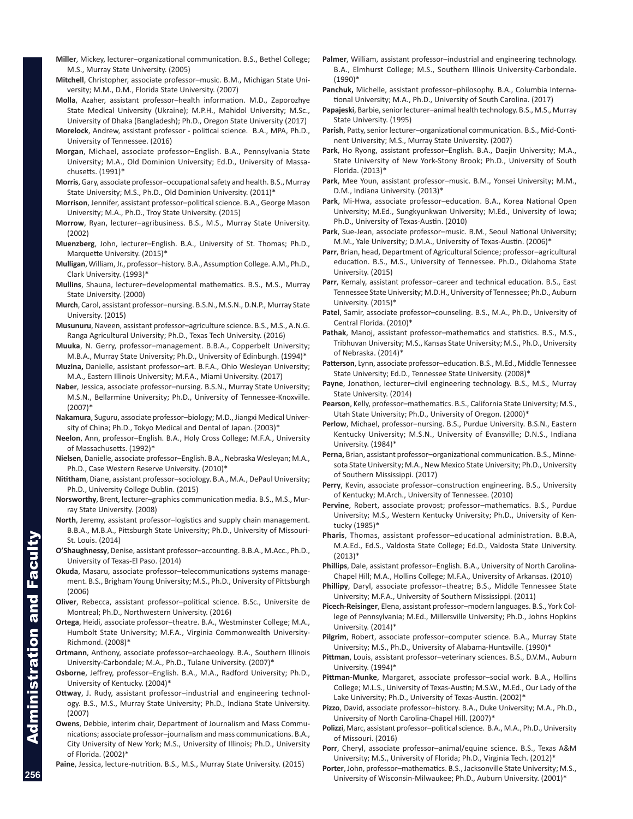- **Miller**, Mickey, lecturer–organizational communication. B.S., Bethel College; M.S., Murray State University. (2005)
- **Mitchell**, Christopher, associate professor–music. B.M., Michigan State University; M.M., D.M., Florida State University. (2007)
- **Molla**, Azaher, assistant professor–health information. M.D., Zaporozhye State Medical University (Ukraine); M.P.H., Mahidol University; M.Sc., University of Dhaka (Bangladesh); Ph.D., Oregon State University (2017)
- **Morelock**, Andrew, assistant professor political science. B.A., MPA, Ph.D., University of Tennessee. (2016)
- **Morgan**, Michael, associate professor–English. B.A., Pennsylvania State University; M.A., Old Dominion University; Ed.D., University of Massachusetts. (1991)\*
- **Morris**, Gary, associate professor–occupational safety and health. B.S., Murray State University; M.S., Ph.D., Old Dominion University. (2011)\*
- **Morrison**, Jennifer, assistant professor–political science. B.A., George Mason University; M.A., Ph.D., Troy State University. (2015)
- **Morrow**, Ryan, lecturer–agribusiness. B.S., M.S., Murray State University. (2002)
- **Muenzberg**, John, lecturer–English. B.A., University of St. Thomas; Ph.D., Marquette University. (2015)\*
- **Mulligan**, William, Jr., professor–history. B.A., Assumption College. A.M., Ph.D., Clark University. (1993)\*
- **Mullins**, Shauna, lecturer–developmental mathematics. B.S., M.S., Murray State University. (2000)
- **Murch**, Carol, assistant professor–nursing. B.S.N., M.S.N., D.N.P., Murray State University. (2015)
- **Musunuru**, Naveen, assistant professor–agriculture science. B.S., M.S., A.N.G. Ranga Agricultural University; Ph.D., Texas Tech University. (2016)
- **Muuka**, N. Gerry, professor–management. B.B.A., Copperbelt University; M.B.A., Murray State University; Ph.D., University of Edinburgh. (1994)\*
- **Muzina,** Danielle, assistant professor–art. B.F.A., Ohio Wesleyan University; M.A., Eastern Illinois University; M.F.A., Miami University. (2017)
- **Naber**, Jessica, associate professor–nursing. B.S.N., Murray State University; M.S.N., Bellarmine University; Ph.D., University of Tennessee-Knoxville.  $(2007)*$
- **Nakamura**, Suguru, associate professor–biology; M.D., Jiangxi Medical University of China; Ph.D., Tokyo Medical and Dental of Japan. (2003)\*
- **Neelon**, Ann, professor–English. B.A., Holy Cross College; M.F.A., University of Massachusetts. (1992)\*
- **Nielsen**, Danielle, associate professor–English. B.A., Nebraska Wesleyan; M.A., Ph.D., Case Western Reserve University. (2010)\*
- **Nititham**, Diane, assistant professor–sociology. B.A., M.A., DePaul University; Ph.D., University College Dublin. (2015)
- **Norsworthy**, Brent, lecturer–graphics communication media. B.S., M.S., Murray State University. (2008)
- **North**, Jeremy, assistant professor–logistics and supply chain management. B.B.A., M.B.A., Pittsburgh State University; Ph.D., University of Missouri-St. Louis. (2014)
- **O'Shaughnessy**, Denise, assistant professor–accounting. B.B.A., M.Acc., Ph.D., University of Texas-El Paso. (2014)
- **Okuda**, Masaru, associate professor–telecommunications systems management. B.S., Brigham Young University; M.S., Ph.D., University of Pittsburgh (2006)
- **Oliver**, Rebecca, assistant professor–political science. B.Sc., Universite de Montreal; Ph.D., Northwestern University. (2016)
- **Ortega**, Heidi, associate professor–theatre. B.A., Westminster College; M.A., Humbolt State University; M.F.A., Virginia Commonwealth University-Richmond. (2008)\*
- **Ortmann**, Anthony, associate professor–archaeology. B.A., Southern Illinois University-Carbondale; M.A., Ph.D., Tulane University. (2007)\*
- **Osborne**, Jeffrey, professor–English. B.A., M.A., Radford University; Ph.D., University of Kentucky. (2004)\*
- **Ottway**, J. Rudy, assistant professor–industrial and engineering technology. B.S., M.S., Murray State University; Ph.D., Indiana State University. (2007)
- **Owens**, Debbie, interim chair, Department of Journalism and Mass Communications; associate professor–journalism and mass communications. B.A., City University of New York; M.S., University of Illinois; Ph.D., University of Florida. (2002)\*
- **Paine**, Jessica, lecture-nutrition. B.S., M.S., Murray State University. (2015)
- **Palmer**, William, assistant professor–industrial and engineering technology. B.A., Elmhurst College; M.S., Southern Illinois University-Carbondale. (1990)\*
- **Panchuk,** Michelle, assistant professor–philosophy. B.A., Columbia International University; M.A., Ph.D., University of South Carolina. (2017)
- **Papajeski**, Barbie, senior lecturer–animal health technology. B.S., M.S., Murray State University. (1995)
- **Parish**, Patty, senior lecturer–organizational communication. B.S., Mid-Continent University; M.S., Murray State University. (2007)
- **Park**, Ho Ryong, assistant professor–English. B.A., Daejin University; M.A., State University of New York-Stony Brook; Ph.D., University of South Florida. (2013)\*
- **Park**, Mee Youn, assistant professor–music. B.M., Yonsei University; M.M., D.M., Indiana University. (2013)\*
- **Park**, Mi-Hwa, associate professor–education. B.A., Korea National Open University; M.Ed., Sungkyunkwan University; M.Ed., University of Iowa; Ph.D., University of Texas-Austin. (2010)
- **Park**, Sue-Jean, associate professor–music. B.M., Seoul National University; M.M., Yale University; D.M.A., University of Texas-Austin. (2006)\*
- **Parr**, Brian, head, Department of Agricultural Science; professor–agricultural education. B.S., M.S., University of Tennessee. Ph.D., Oklahoma State University. (2015)
- **Parr**, Kemaly, assistant professor–career and technical education. B.S., East Tennessee State University; M.D.H., University of Tennessee; Ph.D., Auburn University. (2015)\*
- **Patel**, Samir, associate professor–counseling. B.S., M.A., Ph.D., University of Central Florida. (2010)\*
- **Pathak**, Manoj, assistant professor–mathematics and statistics. B.S., M.S., Tribhuvan University; M.S., Kansas State University; M.S., Ph.D., University of Nebraska. (2014)\*
- **Patterson**, Lynn, associate professor–education. B.S., M.Ed., Middle Tennessee State University; Ed.D., Tennessee State University. (2008)\*
- **Payne**, Jonathon, lecturer–civil engineering technology. B.S., M.S., Murray State University. (2014)
- **Pearson**, Kelly, professor–mathematics. B.S., California State University; M.S., Utah State University; Ph.D., University of Oregon. (2000)\*
- **Perlow**, Michael, professor–nursing. B.S., Purdue University. B.S.N., Eastern Kentucky University; M.S.N., University of Evansville; D.N.S., Indiana University. (1984)\*
- **Perna,** Brian, assistant professor–organizational communication. B.S., Minnesota State University; M.A., New Mexico State University; Ph.D., University of Southern Mississippi. (2017)
- **Perry**, Kevin, associate professor–construction engineering. B.S., University of Kentucky; M.Arch., University of Tennessee. (2010)
- **Pervine**, Robert, associate provost; professor–mathematics. B.S., Purdue University; M.S., Western Kentucky University; Ph.D., University of Kentucky (1985)\*
- **Pharis**, Thomas, assistant professor–educational administration. B.B.A, M.A.Ed., Ed.S., Valdosta State College; Ed.D., Valdosta State University.  $(2013)*$
- **Phillips**, Dale, assistant professor–English. B.A., University of North Carolina-Chapel Hill; M.A., Hollins College; M.F.A., University of Arkansas. (2010)
- **Phillipy**, Daryl, associate professor–theatre; B.S., Middle Tennessee State University; M.F.A., University of Southern Mississippi. (2011)
- **Picech-Reisinger**, Elena, assistant professor–modern languages. B.S., York College of Pennsylvania; M.Ed., Millersville University; Ph.D., Johns Hopkins University. (2014)\*
- **Pilgrim**, Robert, associate professor–computer science. B.A., Murray State University; M.S., Ph.D., University of Alabama-Huntsville. (1990)\*
- **Pittman**, Louis, assistant professor–veterinary sciences. B.S., D.V.M., Auburn University. (1994)\*
- **Pittman-Munke**, Margaret, associate professor–social work. B.A., Hollins College; M.L.S., University of Texas-Austin; M.S.W., M.Ed., Our Lady of the Lake University; Ph.D., University of Texas-Austin. (2002)\*
- **Pizzo**, David, associate professor–history. B.A., Duke University; M.A., Ph.D., University of North Carolina-Chapel Hill. (2007)\*
- **Polizzi**, Marc, assistant professor–political science. B.A., M.A., Ph.D., University of Missouri. (2016)
- **Porr**, Cheryl, associate professor–animal/equine science. B.S., Texas A&M University; M.S., University of Florida; Ph.D., Virginia Tech. (2012)\*
- **Porter**, John, professor–mathematics. B.S., Jacksonville State University; M.S., University of Wisconsin-Milwaukee; Ph.D., Auburn University. (2001)\*

Administration and Faculty

inistration and

**Facu**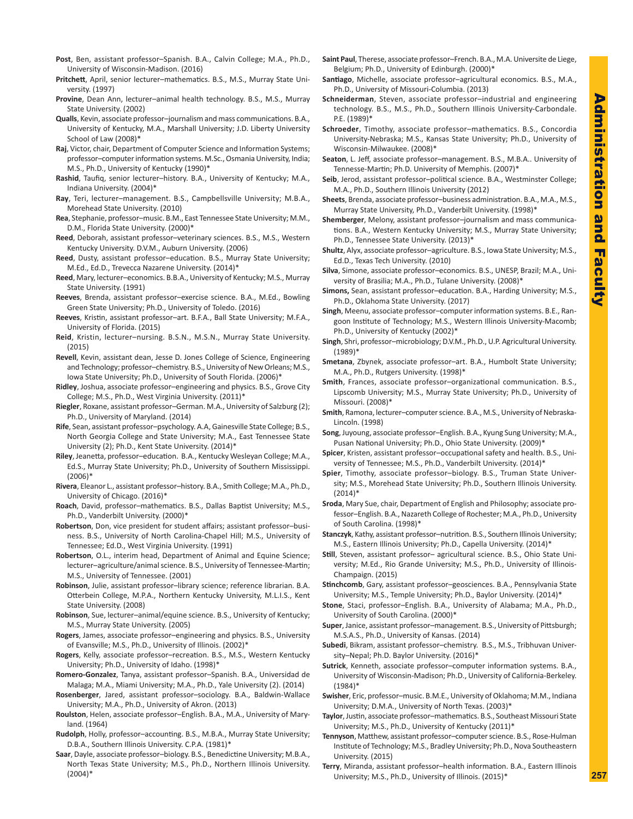- **Post**, Ben, assistant professor–Spanish. B.A., Calvin College; M.A., Ph.D., University of Wisconsin-Madison. (2016)
- **Pritchett**, April, senior lecturer–mathematics. B.S., M.S., Murray State University. (1997)
- **Provine**, Dean Ann, lecturer–animal health technology. B.S., M.S., Murray State University. (2002)
- **Qualls**, Kevin, associate professor–journalism and mass communications. B.A., University of Kentucky, M.A., Marshall University; J.D. Liberty University School of Law (2008)\*
- **Raj**, Victor, chair, Department of Computer Science and Information Systems; professor–computer information systems. M.Sc., Osmania University, India; M.S., Ph.D., University of Kentucky (1990)\*
- **Rashid**, Taufiq, senior lecturer–history. B.A., University of Kentucky; M.A., Indiana University. (2004)\*
- **Ray**, Teri, lecturer–management. B.S., Campbellsville University; M.B.A., Morehead State University. (2010)
- **Rea**, Stephanie, professor–music. B.M., East Tennessee State University; M.M., D.M., Florida State University. (2000)\*
- **Reed**, Deborah, assistant professor–veterinary sciences. B.S., M.S., Western Kentucky University. D.V.M., Auburn University. (2006)
- **Reed**, Dusty, assistant professor–education. B.S., Murray State University; M.Ed., Ed.D., Trevecca Nazarene University. (2014)\*
- **Reed**, Mary, lecturer–economics. B.B.A., University of Kentucky; M.S., Murray State University. (1991)
- **Reeves**, Brenda, assistant professor–exercise science. B.A., M.Ed., Bowling Green State University; Ph.D., University of Toledo. (2016)
- **Reeves**, Kristin, assistant professor–art. B.F.A., Ball State University; M.F.A., University of Florida. (2015)
- **Reid**, Kristin, lecturer–nursing. B.S.N., M.S.N., Murray State University. (2015)
- **Revell**, Kevin, assistant dean, Jesse D. Jones College of Science, Engineering and Technology; professor–chemistry. B.S., University of New Orleans; M.S., Iowa State University; Ph.D., University of South Florida. (2006)\*
- **Ridley**, Joshua, associate professor–engineering and physics. B.S., Grove City College; M.S., Ph.D., West Virginia University. (2011)\*
- **Riegler**, Roxane, assistant professor–German. M.A., University of Salzburg (2); Ph.D., University of Maryland. (2014)
- **Rife**, Sean, assistant professor–psychology. A.A, Gainesville State College; B.S., North Georgia College and State University; M.A., East Tennessee State University (2); Ph.D., Kent State University. (2014)\*
- **Riley**, Jeanetta, professor–education. B.A., Kentucky Wesleyan College; M.A., Ed.S., Murray State University; Ph.D., University of Southern Mississippi. (2006)\*
- **Rivera**, Eleanor L., assistant professor–history. B.A., Smith College; M.A., Ph.D., University of Chicago. (2016)\*
- **Roach**, David, professor–mathematics. B.S., Dallas Baptist University; M.S., Ph.D., Vanderbilt University. (2000)\*
- **Robertson**, Don, vice president for student affairs; assistant professor–business. B.S., University of North Carolina-Chapel Hill; M.S., University of Tennessee; Ed.D., West Virginia University. (1991)
- **Robertson**, O.L., interim head, Department of Animal and Equine Science; lecturer–agriculture/animal science. B.S., University of Tennessee-Martin; M.S., University of Tennessee. (2001)
- **Robinson**, Julie, assistant professor–library science; reference librarian. B.A. Otterbein College, M.P.A., Northern Kentucky University, M.L.I.S., Kent State University. (2008)
- **Robinson**, Sue, lecturer–animal/equine science. B.S., University of Kentucky; M.S., Murray State University. (2005)
- **Rogers**, James, associate professor–engineering and physics. B.S., University of Evansville; M.S., Ph.D., University of Illinois. (2002)\*
- **Rogers**, Kelly, associate professor–recreation. B.S., M.S., Western Kentucky University; Ph.D., University of Idaho. (1998)\*
- **Romero-Gonzalez**, Tanya, assistant professor–Spanish. B.A., Universidad de Malaga; M.A., Miami University; M.A., Ph.D., Yale University (2). (2014)
- **Rosenberger**, Jared, assistant professor–sociology. B.A., Baldwin-Wallace University; M.A., Ph.D., University of Akron. (2013)
- **Roulston**, Helen, associate professor–English. B.A., M.A., University of Maryland. (1964)
- **Rudolph**, Holly, professor–accounting. B.S., M.B.A., Murray State University; D.B.A., Southern Illinois University. C.P.A. (1981)\*
- **Saar**, Dayle, associate professor–biology. B.S., Benedictine University; M.B.A., North Texas State University; M.S., Ph.D., Northern Illinois University. (2004)\*
- **Saint Paul**, Therese, associate professor–French. B.A., M.A. Universite de Liege, Belgium; Ph.D., University of Edinburgh. (2000)\*
- **Santiago**, Michelle, associate professor–agricultural economics. B.S., M.A., Ph.D., University of Missouri-Columbia. (2013)
- **Schneiderman**, Steven, associate professor–industrial and engineering technology. B.S., M.S., Ph.D., Southern Illinois University-Carbondale. P.E. (1989)\*
- **Schroeder**, Timothy, associate professor–mathematics. B.S., Concordia University-Nebraska; M.S., Kansas State University; Ph.D., University of Wisconsin-Milwaukee. (2008)\*
- **Seaton**, L. Jeff, associate professor–management. B.S., M.B.A.. University of Tennesse-Martin; Ph.D. University of Memphis. (2007)\*
- **Seib**, Jerod, assistant professor–political science. B.A., Westminster College; M.A., Ph.D., Southern Illinois University (2012)
- **Sheets**, Brenda, associate professor–business administration. B.A., M.A., M.S., Murray State University, Ph.D., Vanderbilt University. (1998)\*
- **Shemberger**, Melony, assistant professor–journalism and mass communications. B.A., Western Kentucky University; M.S., Murray State University; Ph.D., Tennessee State University. (2013)\*
- **Shultz**, Alyx, associate professor–agriculture. B.S., Iowa State University; M.S., Ed.D., Texas Tech University. (2010)
- **Silva**, Simone, associate professor–economics. B.S., UNESP, Brazil; M.A., University of Brasilia; M.A., Ph.D., Tulane University. (2008)\*
- **Simons,** Sean, assistant professor–education. B.A., Harding University; M.S., Ph.D., Oklahoma State University. (2017)
- **Singh**, Meenu, associate professor–computer information systems. B.E., Rangoon Institute of Technology; M.S., Western Illinois University-Macomb; Ph.D., University of Kentucky (2002)\*
- **Singh**, Shri, professor–microbiology; D.V.M., Ph.D., U.P. Agricultural University. (1989)\*
- **Smetana**, Zbynek, associate professor–art. B.A., Humbolt State University; M.A., Ph.D., Rutgers University. (1998)\*
- **Smith**, Frances, associate professor–organizational communication. B.S., Lipscomb University; M.S., Murray State University; Ph.D., University of Missouri. (2008)\*
- **Smith**, Ramona, lecturer–computer science. B.A., M.S., University of Nebraska-Lincoln. (1998)
- **Song**, Juyoung, associate professor–English. B.A., Kyung Sung University; M.A., Pusan National University; Ph.D., Ohio State University. (2009)\*
- **Spicer**, Kristen, assistant professor–occupational safety and health. B.S., University of Tennessee; M.S., Ph.D., Vanderbilt University. (2014)\*
- **Spier**, Timothy, associate professor–biology. B.S., Truman State University; M.S., Morehead State University; Ph.D., Southern Illinois University. (2014)\*
- **Sroda**, Mary Sue, chair, Department of English and Philosophy; associate professor–English. B.A., Nazareth College of Rochester; M.A., Ph.D., University of South Carolina. (1998)\*
- **Stanczyk**, Kathy, assistant professor–nutrition. B.S., Southern Illinois University; M.S., Eastern Illinois University; Ph.D., Capella University. (2014)\*
- **Still**, Steven, assistant professor– agricultural science. B.S., Ohio State University; M.Ed., Rio Grande University; M.S., Ph.D., University of Illinois-Champaign. (2015)
- **Stinchcomb**, Gary, assistant professor–geosciences. B.A., Pennsylvania State University; M.S., Temple University; Ph.D., Baylor University. (2014)\*
- **Stone**, Staci, professor–English. B.A., University of Alabama; M.A., Ph.D., University of South Carolina. (2000)\*
- **Super**, Janice, assistant professor–management. B.S., University of Pittsburgh; M.S.A.S., Ph.D., University of Kansas. (2014)
- **Subedi**, Bikram, assistant professor–chemistry. B.S., M.S., Tribhuvan University–Nepal; Ph.D. Baylor University. (2016)\*
- **Sutrick**, Kenneth, associate professor–computer information systems. B.A., University of Wisconsin-Madison; Ph.D., University of California-Berkeley. (1984)\*
- **Swisher**, Eric, professor–music. B.M.E., University of Oklahoma; M.M., Indiana University; D.M.A., University of North Texas. (2003)\*
- **Taylor**, Justin, associate professor–mathematics. B.S., Southeast Missouri State University; M.S., Ph.D., University of Kentucky (2011)\*
- **Tennyson**, Matthew, assistant professor–computer science. B.S., Rose-Hulman Institute of Technology; M.S., Bradley University; Ph.D., Nova Southeastern University. (2015)
- **Terry**, Miranda, assistant professor–health information. B.A., Eastern Illinois University; M.S., Ph.D., University of Illinois. (2015)\*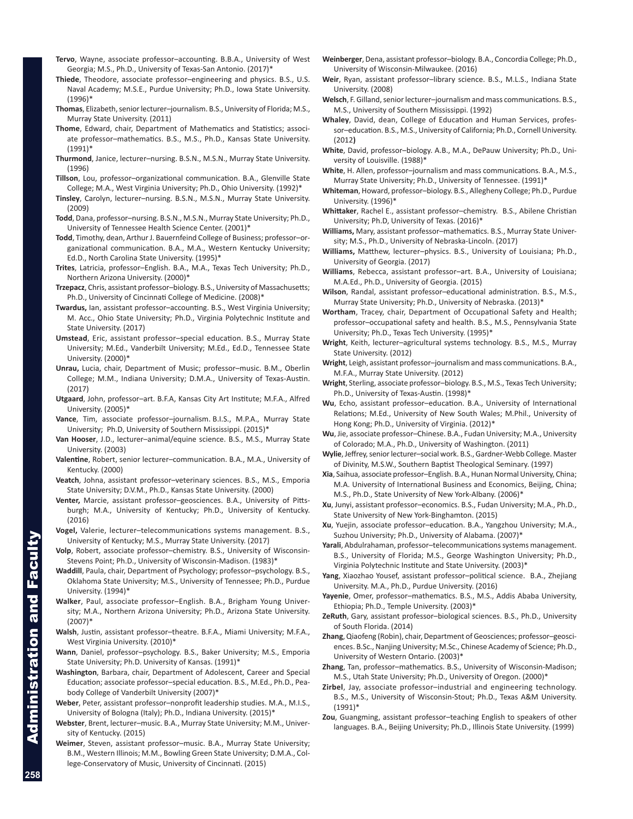- **Tervo**, Wayne, associate professor–accounting. B.B.A., University of West Georgia; M.S., Ph.D., University of Texas-San Antonio. (2017)\*
- **Thiede**, Theodore, associate professor–engineering and physics. B.S., U.S. Naval Academy; M.S.E., Purdue University; Ph.D., Iowa State University. (1996)\*
- **Thomas**, Elizabeth, senior lecturer–journalism. B.S., University of Florida; M.S., Murray State University. (2011)
- **Thome**, Edward, chair, Department of Mathematics and Statistics; associate professor–mathematics. B.S., M.S., Ph.D., Kansas State University. (1991)\*
- **Thurmond**, Janice, lecturer–nursing. B.S.N., M.S.N., Murray State University. (1996)
- **Tillson**, Lou, professor–organizational communication. B.A., Glenville State College; M.A., West Virginia University; Ph.D., Ohio University. (1992)\*
- **Tinsley**, Carolyn, lecturer–nursing. B.S.N., M.S.N., Murray State University. (2009)
- **Todd**, Dana, professor–nursing. B.S.N., M.S.N., Murray State University; Ph.D., University of Tennessee Health Science Center. (2001)\*
- **Todd**, Timothy, dean, Arthur J. Bauernfeind College of Business; professor–organizational communication. B.A., M.A., Western Kentucky University; Ed.D., North Carolina State University. (1995)\*
- **Trites**, Latricia, professor–English. B.A., M.A., Texas Tech University; Ph.D., Northern Arizona University. (2000)\*
- **Trzepacz**, Chris, assistant professor–biology. B.S., University of Massachusetts; Ph.D., University of Cincinnati College of Medicine. (2008)\*
- **Twardus,** Ian, assistant professor–accounting. B.S., West Virginia University; M. Acc., Ohio State University; Ph.D., Virginia Polytechnic Institute and State University. (2017)
- **Umstead**, Eric, assistant professor–special education. B.S., Murray State University; M.Ed., Vanderbilt University; M.Ed., Ed.D., Tennessee State University. (2000)\*
- **Unrau,** Lucia, chair, Department of Music; professor–music. B.M., Oberlin College; M.M., Indiana University; D.M.A., University of Texas-Austin. (2017)
- **Utgaard**, John, professor–art. B.F.A, Kansas City Art Institute; M.F.A., Alfred University. (2005)\*
- **Vance**, Tim, associate professor–journalism. B.I.S., M.P.A., Murray State University; Ph.D, University of Southern Mississippi. (2015)\*
- **Van Hooser**, J.D., lecturer–animal/equine science. B.S., M.S., Murray State University. (2003)
- **Valentine**, Robert, senior lecturer–communication. B.A., M.A., University of Kentucky. (2000)
- **Veatch**, Johna, assistant professor–veterinary sciences. B.S., M.S., Emporia State University; D.V.M., Ph.D., Kansas State University. (2000)
- **Venter,** Marcie, assistant professor–geosciences. B.A., University of Pittsburgh; M.A., University of Kentucky; Ph.D., University of Kentucky. (2016)
- **Vogel,** Valerie, lecturer–telecommunications systems management. B.S., University of Kentucky; M.S., Murray State University. (2017)
- **Volp**, Robert, associate professor–chemistry. B.S., University of Wisconsin-Stevens Point; Ph.D., University of Wisconsin-Madison. (1983)\*
- **Waddill**, Paula, chair, Department of Psychology; professor–psychology. B.S., Oklahoma State University; M.S., University of Tennessee; Ph.D., Purdue University. (1994)\*
- **Walker**, Paul, associate professor–English. B.A., Brigham Young University; M.A., Northern Arizona University; Ph.D., Arizona State University. (2007)\*
- **Walsh**, Justin, assistant professor–theatre. B.F.A., Miami University; M.F.A., West Virginia University. (2010)\*
- **Wann**, Daniel, professor–psychology. B.S., Baker University; M.S., Emporia State University; Ph.D. University of Kansas. (1991)\*
- **Washington**, Barbara, chair, Department of Adolescent, Career and Special Education; associate professor–special education. B.S., M.Ed., Ph.D., Peabody College of Vanderbilt University (2007)\*
- **Weber**, Peter, assistant professor–nonprofit leadership studies. M.A., M.I.S., University of Bologna (Italy); Ph.D., Indiana University. (2015)\*
- **Webster**, Brent, lecturer–music. B.A., Murray State University; M.M., University of Kentucky. (2015)
- **Weimer**, Steven, assistant professor–music. B.A., Murray State University; B.M., Western Illinois; M.M., Bowling Green State University; D.M.A., College-Conservatory of Music, University of Cincinnati. (2015)
- **Weinberger**, Dena, assistant professor–biology. B.A., Concordia College; Ph.D., University of Wisconsin-Milwaukee. (2016)
- **Weir**, Ryan, assistant professor–library science. B.S., M.L.S., Indiana State University. (2008)
- **Welsch**, F. Gilland, senior lecturer–journalism and mass communications. B.S., M.S., University of Southern Mississippi. (1992)
- **Whaley**, David, dean, College of Education and Human Services, professor–education. B.S., M.S., University of California; Ph.D., Cornell University. (2012**)**
- **White**, David, professor–biology. A.B., M.A., DePauw University; Ph.D., University of Louisville. (1988)\*
- **White**, H. Allen, professor–journalism and mass communications. B.A., M.S., Murray State University; Ph.D., University of Tennessee. (1991)\*
- **Whiteman**, Howard, professor–biology. B.S., Allegheny College; Ph.D., Purdue University. (1996)\*
- **Whittaker**, Rachel E., assistant professor–chemistry. B.S., Abilene Christian University; Ph.D, University of Texas. (2016)\*
- **Williams,** Mary, assistant professor–mathematics. B.S., Murray State University; M.S., Ph.D., University of Nebraska-Lincoln. (2017)
- **Williams,** Matthew, lecturer–physics. B.S., University of Louisiana; Ph.D., University of Georgia. (2017)
- **Williams**, Rebecca, assistant professor–art. B.A., University of Louisiana; M.A.Ed., Ph.D., University of Georgia. (2015)
- **Wilson**, Randal, assistant professor–educational administration. B.S., M.S., Murray State University; Ph.D., University of Nebraska. (2013)\*
- **Wortham**, Tracey, chair, Department of Occupational Safety and Health; professor–occupational safety and health. B.S., M.S., Pennsylvania State University; Ph.D., Texas Tech University. (1995)\*
- **Wright**, Keith, lecturer–agricultural systems technology. B.S., M.S., Murray State University. (2012)
- **Wright**, Leigh, assistant professor–journalism and mass communications. B.A., M.F.A., Murray State University. (2012)
- **Wright**, Sterling, associate professor–biology. B.S., M.S., Texas Tech University; Ph.D., University of Texas-Austin. (1998)\*
- **Wu**, Echo, assistant professor–education. B.A., University of International Relations; M.Ed., University of New South Wales; M.Phil., University of Hong Kong; Ph.D., University of Virginia. (2012)\*
- **Wu**, Jie, associate professor–Chinese. B.A., Fudan University; M.A., University of Colorado; M.A., Ph.D., University of Washington. (2011)
- **Wylie**, Jeffrey, senior lecturer–social work. B.S., Gardner-Webb College. Master of Divinity, M.S.W., Southern Baptist Theological Seminary. (1997)
- **Xia**, Saihua, associate professor–English. B.A., Hunan Normal University, China; M.A. University of International Business and Economics, Beijing, China; M.S., Ph.D., State University of New York-Albany. (2006)\*
- **Xu**, Junyi, assistant professor–economics. B.S., Fudan University; M.A., Ph.D., State University of New York-Binghamton. (2015)
- **Xu**, Yuejin, associate professor–education. B.A., Yangzhou University; M.A., Suzhou University; Ph.D., University of Alabama. (2007)\*
- **Yarali**, Abdulrahaman, professor–telecommunications systems management. B.S., University of Florida; M.S., George Washington University; Ph.D., Virginia Polytechnic Institute and State University. (2003)\*
- **Yang**, Xiaozhao Yousef, assistant professor–political science. B.A., Zhejiang University. M.A., Ph.D., Purdue University. (2016)
- **Yayenie**, Omer, professor–mathematics. B.S., M.S., Addis Ababa University, Ethiopia; Ph.D., Temple University. (2003)\*
- **ZeRuth**, Gary, assistant professor–biological sciences. B.S., Ph.D., University of South Florida. (2014)
- **Zhang**, Qiaofeng (Robin), chair, Department of Geosciences; professor–geosciences. B.Sc., Nanjing University; M.Sc., Chinese Academy of Science; Ph.D., University of Western Ontario. (2003)\*
- **Zhang**, Tan, professor–mathematics. B.S., University of Wisconsin-Madison; M.S., Utah State University; Ph.D., University of Oregon. (2000)\*
- **Zirbel**, Jay, associate professor–industrial and engineering technology. B.S., M.S., University of Wisconsin-Stout; Ph.D., Texas A&M University. (1991)\*
- **Zou**, Guangming, assistant professor–teaching English to speakers of other languages. B.A., Beijing University; Ph.D., Illinois State University. (1999)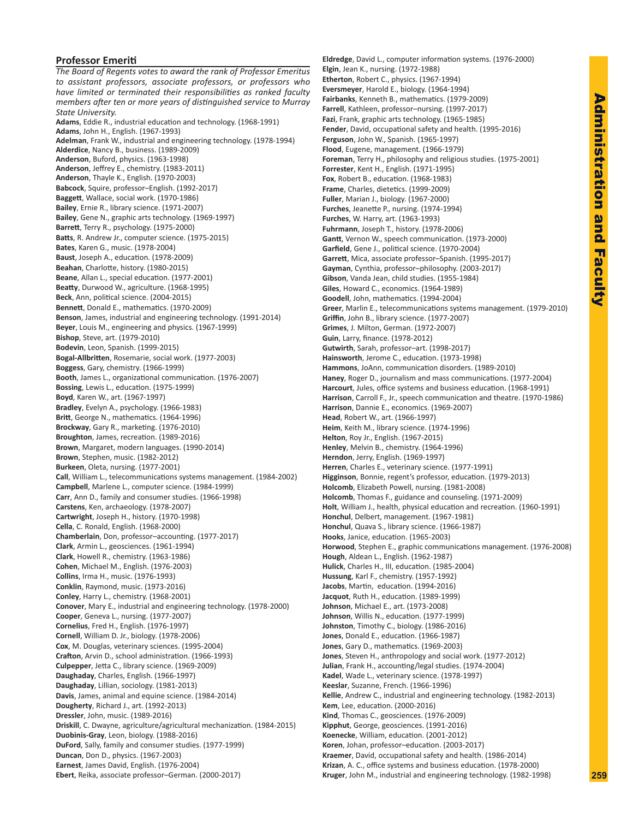# Administration and Faculty **Administration and Faculty**

# **Professor Emeriti**

*The Board of Regents votes to award the rank of Professor Emeritus to assistant professors, associate professors, or professors who have limited or terminated their responsibilities as ranked faculty members after ten or more years of distinguished service to Murray State University.* **Adams**, Eddie R., industrial education and technology. (1968-1991) **Adams**, John H., English. (1967-1993) **Adelman**, Frank W., industrial and engineering technology. (1978-1994) **Alderdice**, Nancy B., business. (1989-2009) **Anderson**, Buford, physics. (1963-1998) **Anderson**, Jeffrey E., chemistry. (1983-2011) **Anderson**, Thayle K., English. (1970-2003) **Babcock**, Squire, professor–English. (1992-2017) **Baggett**, Wallace, social work. (1970-1986) **Bailey**, Ernie R., library science. (1971-2007) **Bailey**, Gene N., graphic arts technology. (1969-1997) **Barrett**, Terry R., psychology. (1975-2000) **Batts**, R. Andrew Jr., computer science. (1975-2015) **Bates**, Karen G., music. (1978-2004) **Baust**, Joseph A., education. (1978-2009) **Beahan**, Charlotte, history. (1980-2015) **Beane**, Allan L., special education. (1977-2001) **Beatty**, Durwood W., agriculture. (1968-1995) **Beck**, Ann, political science. (2004-2015) **Bennett**, Donald E., mathematics. (1970-2009) **Benson**, James, industrial and engineering technology. (1991-2014) **Beyer**, Louis M., engineering and physics. (1967-1999) **Bishop**, Steve, art. (1979-2010) **Bodevin**, Leon, Spanish. (1999-2015) **Bogal-Allbritten**, Rosemarie, social work. (1977-2003) **Boggess**, Gary, chemistry. (1966-1999) **Booth**, James L., organizational communication. (1976-2007) **Bossing**, Lewis L., education. (1975-1999) **Boyd**, Karen W., art. (1967-1997) **Bradley**, Evelyn A., psychology. (1966-1983) **Britt**, George N., mathematics. (1964-1996) **Brockway**, Gary R., marketing. (1976-2010) **Broughton**, James, recreation. (1989-2016) **Brown**, Margaret, modern languages. (1990-2014) **Brown**, Stephen, music. (1982-2012) **Burkeen**, Oleta, nursing. (1977-2001) **Call**, William L., telecommunications systems management. (1984-2002) **Campbell**, Marlene L., computer science. (1984-1999) **Carr**, Ann D., family and consumer studies. (1966-1998) **Carstens**, Ken, archaeology. (1978-2007) **Cartwright**, Joseph H., history. (1970-1998) **Cella**, C. Ronald, English. (1968-2000) **Chamberlain**, Don, professor–accounting. (1977-2017) **Clark**, Armin L., geosciences. (1961-1994) **Clark**, Howell R., chemistry. (1963-1986) **Cohen**, Michael M., English. (1976-2003) **Collins**, Irma H., music. (1976-1993) **Conklin**, Raymond, music. (1973-2016) **Conley**, Harry L., chemistry. (1968-2001) **Conover**, Mary E., industrial and engineering technology. (1978-2000) **Cooper**, Geneva L., nursing. (1977-2007) **Cornelius**, Fred H., English. (1976-1997) **Cornell**, William D. Jr., biology. (1978-2006) **Cox**, M. Douglas, veterinary sciences. (1995-2004) **Crafton**, Arvin D., school administration. (1966-1993) **Culpepper**, Jetta C., library science. (1969-2009) **Daughaday**, Charles, English. (1966-1997) **Daughaday**, Lillian, sociology. (1981-2013) **Davis**, James, animal and equine science. (1984-2014) **Dougherty**, Richard J., art. (1992-2013) **Dressler**, John, music. (1989-2016) **Driskill**, C. Dwayne, agriculture/agricultural mechanization. (1984-2015) **Duobinis-Gray**, Leon, biology. (1988-2016) **DuFord**, Sally, family and consumer studies. (1977-1999) **Duncan**, Don D., physics. (1967-2003) **Earnest**, James David, English. (1976-2004) **Ebert**, Reika, associate professor–German. (2000-2017)

**Eldredge**, David L., computer information systems. (1976-2000) **Elgin**, Jean K., nursing. (1972-1988) **Etherton**, Robert C., physics. (1967-1994) **Eversmeyer**, Harold E., biology. (1964-1994) **Fairbanks**, Kenneth B., mathematics. (1979-2009) **Farrell**, Kathleen, professor–nursing. (1997-2017) **Fazi**, Frank, graphic arts technology. (1965-1985) **Fender**, David, occupational safety and health. (1995-2016) **Ferguson**, John W., Spanish. (1965-1997) **Flood**, Eugene, management. (1966-1979) **Foreman**, Terry H., philosophy and religious studies. (1975-2001) **Forrester**, Kent H., English. (1971-1995) **Fox**, Robert B., education. (1968-1983) **Frame**, Charles, dietetics. (1999-2009) **Fuller**, Marian J., biology. (1967-2000) **Furches**, Jeanette P., nursing. (1974-1994) **Furches**, W. Harry, art. (1963-1993) **Fuhrmann**, Joseph T., history. (1978-2006) **Gantt**, Vernon W., speech communication. (1973-2000) **Garfield**, Gene J., political science. (1970-2004) **Garrett**, Mica, associate professor–Spanish. (1995-2017) **Gayman**, Cynthia, professor–philosophy. (2003-2017) **Gibson**, Vanda Jean, child studies. (1955-1984) **Giles**, Howard C., economics. (1964-1989) **Goodell**, John, mathematics. (1994-2004) **Greer**, Marlin E., telecommunications systems management. (1979-2010) **Griffin**, John B., library science. (1977-2007) **Grimes**, J. Milton, German. (1972-2007) **Guin**, Larry, finance. (1978-2012) **Gutwirth**, Sarah, professor–art. (1998-2017) **Hainsworth**, Jerome C., education. (1973-1998) **Hammons**, JoAnn, communication disorders. (1989-2010) **Haney**, Roger D., journalism and mass communications. (1977-2004) **Harcourt**, Jules, office systems and business education. (1968-1991) **Harrison**, Carroll F., Jr., speech communication and theatre. (1970-1986) **Harrison**, Dannie E., economics. (1969-2007) **Head**, Robert W., art. (1966-1997) **Heim**, Keith M., library science. (1974-1996) **Helton**, Roy Jr., English. (1967-2015) **Henley**, Melvin B., chemistry. (1964-1996) **Herndon**, Jerry, English. (1969-1997) **Herren**, Charles E., veterinary science. (1977-1991) **Higginson**, Bonnie, regent's professor, education. (1979-2013) **Holcomb**, Elizabeth Powell, nursing. (1981-2008) **Holcomb**, Thomas F., guidance and counseling. (1971-2009) **Holt**, William J., health, physical education and recreation. (1960-1991) **Honchul**, Delbert, management. (1967-1981) **Honchul**, Quava S., library science. (1966-1987) **Hooks**, Janice, education. (1965-2003) **Horwood**, Stephen E., graphic communications management. (1976-2008) **Hough**, Aldean L., English. (1962-1987) **Hulick**, Charles H., III, education. (1985-2004) **Hussung**, Karl F., chemistry. (1957-1992) **Jacobs**, Martin, education. (1994-2016) **Jacquot**, Ruth H., education. (1989-1999) **Johnson**, Michael E., art. (1973-2008) **Johnson**, Willis N., education. (1977-1999) **Johnston**, Timothy C., biology. (1986-2016) **Jones**, Donald E., education. (1966-1987) **Jones**, Gary D., mathematics. (1969-2003) **Jones**, Steven H., anthropology and social work. (1977-2012) **Julian**, Frank H., accounting/legal studies. (1974-2004) **Kadel**, Wade L., veterinary science. (1978-1997) **Keeslar**, Suzanne, French. (1966-1996) **Kellie**, Andrew C., industrial and engineering technology. (1982-2013) **Kem**, Lee, education. (2000-2016) **Kind**, Thomas C., geosciences. (1976-2009) **Kipphut**, George, geosciences. (1991-2016) **Koenecke**, William, education. (2001-2012) **Koren**, Johan, professor–education. (2003-2017) **Kraemer**, David, occupational safety and health. (1986-2014) **Krizan**, A. C., office systems and business education. (1978-2000) **Kruger**, John M., industrial and engineering technology. (1982-1998)